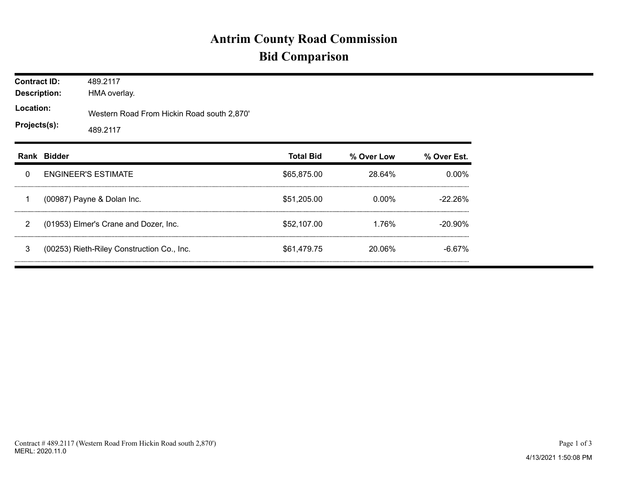## **Antrim County Road Commission Bid Comparison**

| <b>Contract ID:</b><br><b>Description:</b><br>Location:<br>Projects(s): |             | 489.2117<br>HMA overlay.                               |                  |            |             |  |  |  |  |
|-------------------------------------------------------------------------|-------------|--------------------------------------------------------|------------------|------------|-------------|--|--|--|--|
|                                                                         |             | Western Road From Hickin Road south 2,870'<br>489.2117 |                  |            |             |  |  |  |  |
|                                                                         | Rank Bidder |                                                        | <b>Total Bid</b> | % Over Low | % Over Est. |  |  |  |  |
| 0                                                                       |             | <b>ENGINEER'S ESTIMATE</b>                             | \$65,875.00      | 28.64%     | $0.00\%$    |  |  |  |  |
| 1                                                                       |             | (00987) Payne & Dolan Inc.                             | \$51,205.00      | 0.00%      | $-22.26%$   |  |  |  |  |
| 2                                                                       |             | (01953) Elmer's Crane and Dozer, Inc.                  | \$52,107.00      | 1.76%      | $-20.90\%$  |  |  |  |  |
| 3                                                                       |             | (00253) Rieth-Riley Construction Co., Inc.             | \$61,479.75      | 20.06%     | $-6.67%$    |  |  |  |  |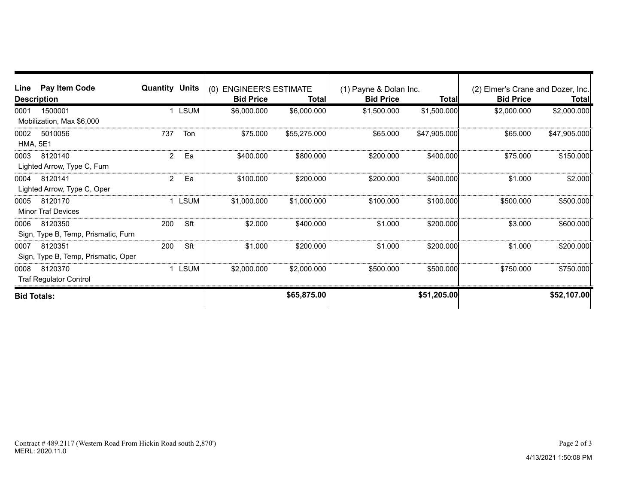| Line                    | Pay Item Code<br><b>Description</b>            | <b>Quantity Units</b> |             | (0) ENGINEER'S ESTIMATE<br><b>Bid Price</b> | Total        | (1) Payne & Dolan Inc.<br><b>Bid Price</b> | <b>Total</b> | (2) Elmer's Crane and Dozer, Inc.<br><b>Bid Price</b> | <b>Total</b> |
|-------------------------|------------------------------------------------|-----------------------|-------------|---------------------------------------------|--------------|--------------------------------------------|--------------|-------------------------------------------------------|--------------|
| 0001                    | 1500001<br>Mobilization, Max \$6,000           |                       | <b>LSUM</b> | \$6,000.000                                 | \$6,000.000  | \$1,500.000                                | \$1,500.000  | \$2,000.000                                           | \$2,000.000  |
| 0002<br><b>HMA, 5E1</b> | 5010056                                        | 737                   | Ton         | \$75,000                                    | \$55,275.000 | \$65,000                                   | \$47,905.000 | \$65,000                                              | \$47,905.000 |
| 0003                    | 8120140<br>Lighted Arrow, Type C, Furn         | 2                     | Ea          | \$400,000                                   | \$800.000    | \$200,000                                  | \$400,000    | \$75.000                                              | \$150.000    |
| 0004                    | 8120141<br>Lighted Arrow, Type C, Oper         | 2                     | Ea          | \$100,000                                   | \$200.000    | \$200,000                                  | \$400,000    | \$1,000                                               | \$2.000      |
| 0005                    | 8120170<br><b>Minor Traf Devices</b>           |                       | LSUM        | \$1,000.000                                 | \$1,000.000  | \$100.000                                  | \$100.000    | \$500.000                                             | \$500.000    |
| 0006                    | 8120350<br>Sign, Type B, Temp, Prismatic, Furn | 200                   | Sft         | \$2,000                                     | \$400,000    | \$1.000                                    | \$200,000    | \$3.000                                               | \$600.000    |
| 0007                    | 8120351<br>Sign, Type B, Temp, Prismatic, Oper | 200                   | Sft         | \$1.000                                     | \$200.000    | \$1.000                                    | \$200.000    | \$1.000                                               | \$200.000    |
| 0008                    | 8120370<br><b>Traf Regulator Control</b>       |                       | LSUM        | \$2,000.000                                 | \$2,000,000  | \$500,000                                  | \$500,000    | \$750.000                                             | \$750,000    |
| <b>Bid Totals:</b>      |                                                |                       |             |                                             | \$65,875.00  |                                            | \$51,205.00  |                                                       | \$52,107.00  |